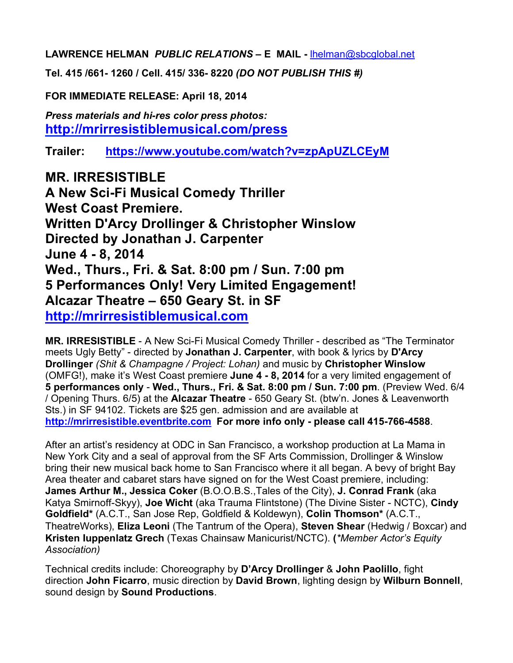**LAWRENCE HELMAN** *PUBLIC RELATIONS* **– E MAIL -** lhelman@sbcglobal.net

**Tel. 415 /661- 1260 / Cell. 415/ 336- 8220** *(DO NOT PUBLISH THIS #)*

**FOR IMMEDIATE RELEASE: April 18, 2014**

*Press materials and hi-res color press photos:* **http://mrirresistiblemusical.com/press**

**Trailer: https://www.youtube.com/watch?v=zpApUZLCEyM**

**MR. IRRESISTIBLE A New Sci-Fi Musical Comedy Thriller West Coast Premiere. Written D'Arcy Drollinger & Christopher Winslow Directed by Jonathan J. Carpenter June 4 - 8, 2014 Wed., Thurs., Fri. & Sat. 8:00 pm / Sun. 7:00 pm 5 Performances Only! Very Limited Engagement! Alcazar Theatre – 650 Geary St. in SF http://mrirresistiblemusical.com**

**MR. IRRESISTIBLE** - A New Sci-Fi Musical Comedy Thriller - described as "The Terminator meets Ugly Betty" - directed by **Jonathan J. Carpenter**, with book & lyrics by **D'Arcy Drollinger** *(Shit & Champagne / Project: Lohan)* and music by **Christopher Winslow** (OMFG!), make it's West Coast premiere **June 4 - 8, 2014** for a very limited engagement of **5 performances only** - **Wed., Thurs., Fri. & Sat. 8:00 pm / Sun. 7:00 pm**. (Preview Wed. 6/4 / Opening Thurs. 6/5) at the **Alcazar Theatre** - 650 Geary St. (btw'n. Jones & Leavenworth Sts.) in SF 94102. Tickets are \$25 gen. admission and are available at **http://mrirresistible.eventbrite.com For more info only - please call 415-766-4588**.

After an artist's residency at ODC in San Francisco, a workshop production at La Mama in New York City and a seal of approval from the SF Arts Commission, Drollinger & Winslow bring their new musical back home to San Francisco where it all began. A bevy of bright Bay Area theater and cabaret stars have signed on for the West Coast premiere, including: **James Arthur M., Jessica Coker** (B.O.O.B.S.,Tales of the City), **J. Conrad Frank** (aka Katya Smirnoff-Skyy), **Joe Wicht** (aka Trauma Flintstone) (The Divine Sister - NCTC), **Cindy Goldfield\*** (A.C.T., San Jose Rep, Goldfield & Koldewyn), **Colin Thomson\*** (A.C.T., TheatreWorks), **Eliza Leoni** (The Tantrum of the Opera), **Steven Shear** (Hedwig / Boxcar) and **Kristen Iuppenlatz Grech** (Texas Chainsaw Manicurist/NCTC). **(***\*Member Actor's Equity Association)* 

Technical credits include: Choreography by **D'Arcy Drollinger** & **John Paolillo**, fight direction **John Ficarro**, music direction by **David Brown**, lighting design by **Wilburn Bonnell**, sound design by **Sound Productions**.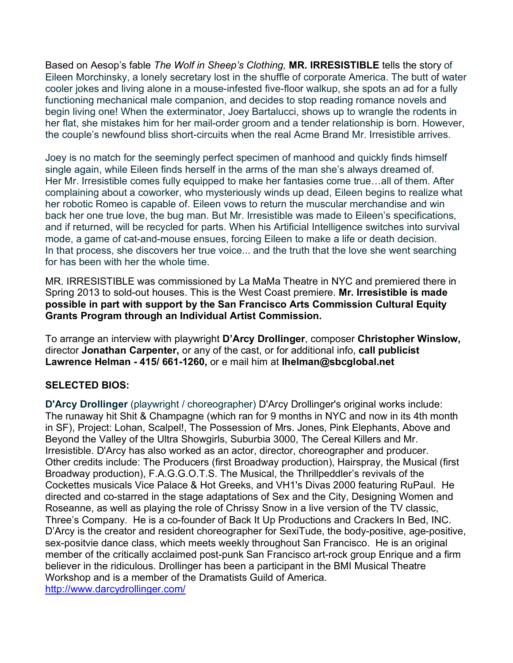Based on Aesop's fable *The Wolf in Sheep's Clothing,* **MR. IRRESISTIBLE** tells the story of Eileen Morchinsky, a lonely secretary lost in the shuffle of corporate America. The butt of water cooler jokes and living alone in a mouse-infested five-floor walkup, she spots an ad for a fully functioning mechanical male companion, and decides to stop reading romance novels and begin living one! When the exterminator, Joey Bartalucci, shows up to wrangle the rodents in her flat, she mistakes him for her mail-order groom and a tender relationship is born. However, the couple's newfound bliss short-circuits when the real Acme Brand Mr. Irresistible arrives.

Joey is no match for the seemingly perfect specimen of manhood and quickly finds himself single again, while Eileen finds herself in the arms of the man she's always dreamed of. Her Mr. Irresistible comes fully equipped to make her fantasies come true…all of them. After complaining about a coworker, who mysteriously winds up dead, Eileen begins to realize what her robotic Romeo is capable of. Eileen vows to return the muscular merchandise and win back her one true love, the bug man. But Mr. Irresistible was made to Eileen's specifications, and if returned, will be recycled for parts. When his Artificial Intelligence switches into survival mode, a game of cat-and-mouse ensues, forcing Eileen to make a life or death decision. In that process, she discovers her true voice... and the truth that the love she went searching for has been with her the whole time.

MR. IRRESISTIBLE was commissioned by La MaMa Theatre in NYC and premiered there in Spring 2013 to sold-out houses. This is the West Coast premiere. **Mr. Irresistible is made possible in part with support by the San Francisco Arts Commission Cultural Equity Grants Program through an Individual Artist Commission.**

To arrange an interview with playwright **D'Arcy Drollinger**, composer **Christopher Winslow,**  director **Jonathan Carpenter,** or any of the cast, or for additional info, **call publicist Lawrence Helman - 415/ 661-1260,** or e mail him at **lhelman@sbcglobal.net**

# **SELECTED BIOS:**

**D'Arcy Drollinger** (playwright / choreographer) D'Arcy Drollinger's original works include: The runaway hit Shit & Champagne (which ran for 9 months in NYC and now in its 4th month in SF), Project: Lohan, Scalpel!, The Possession of Mrs. Jones, Pink Elephants, Above and Beyond the Valley of the Ultra Showgirls, Suburbia 3000, The Cereal Killers and Mr. Irresistible. D'Arcy has also worked as an actor, director, choreographer and producer. Other credits include: The Producers (first Broadway production), Hairspray, the Musical (first Broadway production), F.A.G.G.O.T.S. The Musical, the Thrillpeddler's revivals of the Cockettes musicals Vice Palace & Hot Greeks, and VH1's Divas 2000 featuring RuPaul. He directed and co-starred in the stage adaptations of Sex and the City, Designing Women and Roseanne, as well as playing the role of Chrissy Snow in a live version of the TV classic, Three's Company. He is a co-founder of Back It Up Productions and Crackers In Bed, INC. D'Arcy is the creator and resident choreographer for SexiTude, the body-positive, age-positive, sex-positvie dance class, which meets weekly throughout San Francisco. He is an original member of the critically acclaimed post-punk San Francisco art-rock group Enrique and a firm believer in the ridiculous. Drollinger has been a participant in the BMI Musical Theatre Workshop and is a member of the Dramatists Guild of America.

http://www.darcydrollinger.com/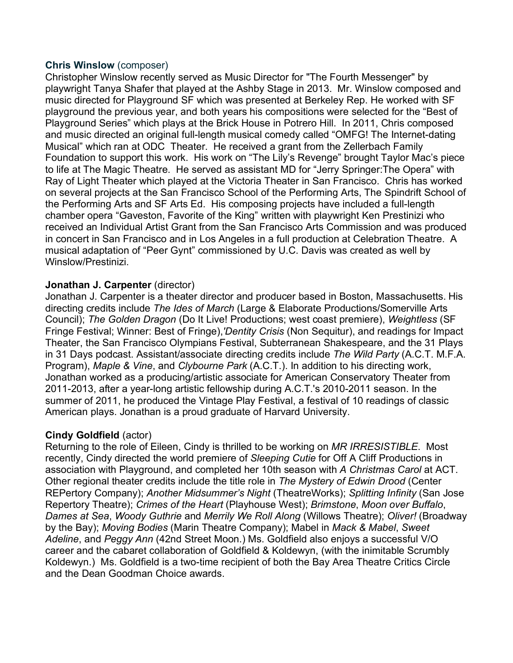### **Chris Winslow** (composer)

Christopher Winslow recently served as Music Director for "The Fourth Messenger" by playwright Tanya Shafer that played at the Ashby Stage in 2013. Mr. Winslow composed and music directed for Playground SF which was presented at Berkeley Rep. He worked with SF playground the previous year, and both years his compositions were selected for the "Best of Playground Series" which plays at the Brick House in Potrero Hill. In 2011, Chris composed and music directed an original full-length musical comedy called "OMFG! The Internet-dating Musical" which ran at ODC Theater. He received a grant from the Zellerbach Family Foundation to support this work. His work on "The Lily's Revenge" brought Taylor Mac's piece to life at The Magic Theatre. He served as assistant MD for "Jerry Springer:The Opera" with Ray of Light Theater which played at the Victoria Theater in San Francisco. Chris has worked on several projects at the San Francisco School of the Performing Arts, The Spindrift School of the Performing Arts and SF Arts Ed. His composing projects have included a full-length chamber opera "Gaveston, Favorite of the King" written with playwright Ken Prestinizi who received an Individual Artist Grant from the San Francisco Arts Commission and was produced in concert in San Francisco and in Los Angeles in a full production at Celebration Theatre. A musical adaptation of "Peer Gynt" commissioned by U.C. Davis was created as well by Winslow/Prestinizi.

### **Jonathan J. Carpenter** (director)

Jonathan J. Carpenter is a theater director and producer based in Boston, Massachusetts. His directing credits include *The Ides of March* (Large & Elaborate Productions/Somerville Arts Council); *The Golden Dragon* (Do It Live! Productions; west coast premiere), *Weightless* (SF Fringe Festival; Winner: Best of Fringe),*'Dentity Crisis* (Non Sequitur), and readings for Impact Theater, the San Francisco Olympians Festival, Subterranean Shakespeare, and the 31 Plays in 31 Days podcast. Assistant/associate directing credits include *The Wild Party* (A.C.T. M.F.A. Program), *Maple & Vine*, and *Clybourne Park* (A.C.T.). In addition to his directing work, Jonathan worked as a producing/artistic associate for American Conservatory Theater from 2011-2013, after a year-long artistic fellowship during A.C.T.'s 2010-2011 season. In the summer of 2011, he produced the Vintage Play Festival, a festival of 10 readings of classic American plays. Jonathan is a proud graduate of Harvard University.

# **Cindy Goldfield** (actor)

Returning to the role of Eileen, Cindy is thrilled to be working on *MR IRRESISTIBLE*. Most recently, Cindy directed the world premiere of *Sleeping Cutie* for Off A Cliff Productions in association with Playground, and completed her 10th season with *A Christmas Carol* at ACT. Other regional theater credits include the title role in *The Mystery of Edwin Drood* (Center REPertory Company); *Another Midsummer's Night* (TheatreWorks); *Splitting Infinity* (San Jose Repertory Theatre); *Crimes of the Heart* (Playhouse West); *Brimstone*, *Moon over Buffalo*, *Dames at Sea*, *Woody Guthrie* and *Merrily We Roll Along* (Willows Theatre); *Oliver!* (Broadway by the Bay); *Moving Bodies* (Marin Theatre Company); Mabel in *Mack & Mabel*, *Sweet Adeline*, and *Peggy Ann* (42nd Street Moon.) Ms. Goldfield also enjoys a successful V/O career and the cabaret collaboration of Goldfield & Koldewyn, (with the inimitable Scrumbly Koldewyn.) Ms. Goldfield is a two-time recipient of both the Bay Area Theatre Critics Circle and the Dean Goodman Choice awards.